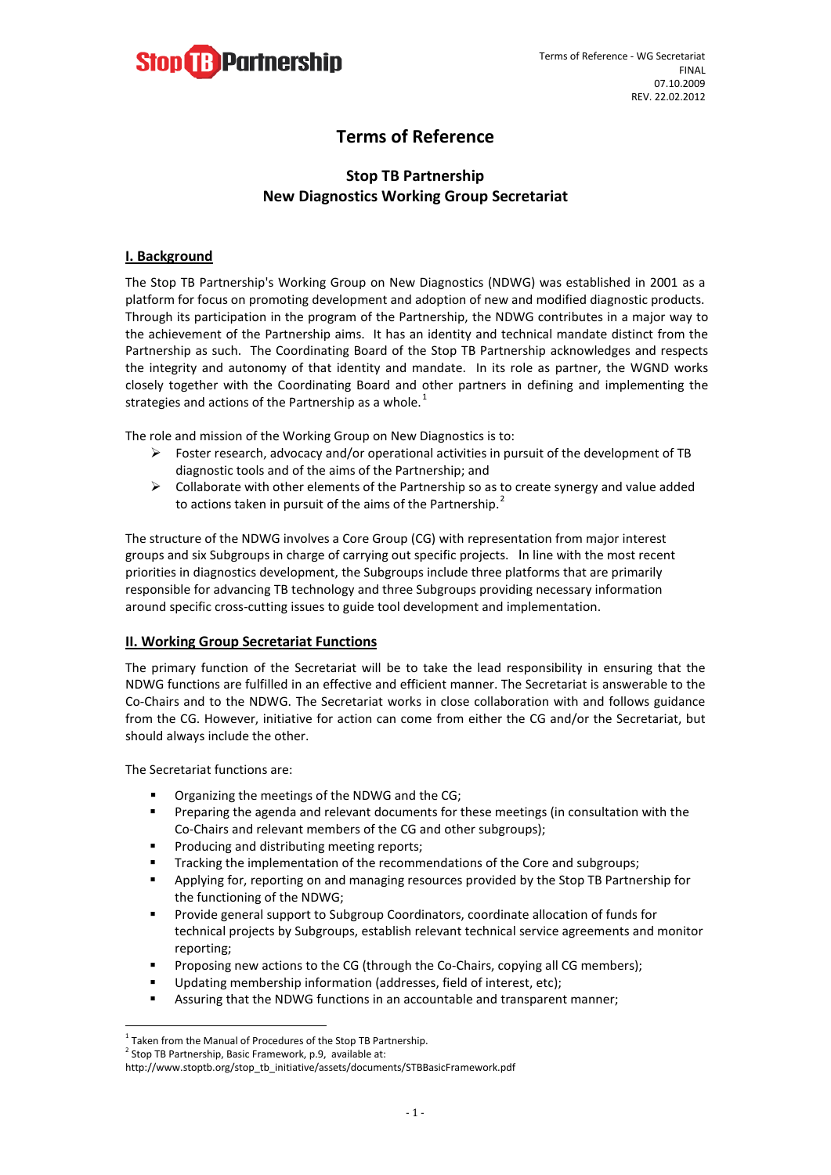

# **Terms of Reference**

## **Stop TB Partnership New Diagnostics Working Group Secretariat**

### **I. Background**

The Stop TB Partnership's Working Group on New Diagnostics (NDWG) was established in 2001 as a platform for focus on promoting development and adoption of new and modified diagnostic products. Through its participation in the program of the Partnership, the NDWG contributes in a major way to the achievement of the Partnership aims. It has an identity and technical mandate distinct from the Partnership as such. The Coordinating Board of the Stop TB Partnership acknowledges and respects the integrity and autonomy of that identity and mandate. In its role as partner, the WGND works closely together with the Coordinating Board and other partners in defining and implementing the strategies and actions of the Partnership as a whole. $<sup>1</sup>$  $<sup>1</sup>$  $<sup>1</sup>$ </sup>

The role and mission of the Working Group on New Diagnostics is to:

- Foster research, advocacy and/or operational activities in pursuit of the development of TB diagnostic tools and of the aims of the Partnership; and
- $\triangleright$  Collaborate with other elements of the Partnership so as to create synergy and value added to actions taken in pursuit of the aims of the Partnership.<sup>[2](#page-0-1)</sup>

The structure of the NDWG involves a Core Group (CG) with representation from major interest groups and six Subgroups in charge of carrying out specific projects. In line with the most recent priorities in diagnostics development, the Subgroups include three platforms that are primarily responsible for advancing TB technology and three Subgroups providing necessary information around specific cross-cutting issues to guide tool development and implementation.

#### **II. Working Group Secretariat Functions**

The primary function of the Secretariat will be to take the lead responsibility in ensuring that the NDWG functions are fulfilled in an effective and efficient manner. The Secretariat is answerable to the Co-Chairs and to the NDWG. The Secretariat works in close collaboration with and follows guidance from the CG. However, initiative for action can come from either the CG and/or the Secretariat, but should always include the other.

The Secretariat functions are:

- Organizing the meetings of the NDWG and the CG;
- **Preparing the agenda and relevant documents for these meetings (in consultation with the** Co-Chairs and relevant members of the CG and other subgroups);
- **Producing and distributing meeting reports;**
- Tracking the implementation of the recommendations of the Core and subgroups;
- Applying for, reporting on and managing resources provided by the Stop TB Partnership for the functioning of the NDWG;
- **Provide general support to Subgroup Coordinators, coordinate allocation of funds for** technical projects by Subgroups, establish relevant technical service agreements and monitor reporting;
- **Proposing new actions to the CG (through the Co-Chairs, copying all CG members);**
- Updating membership information (addresses, field of interest, etc);
- Assuring that the NDWG functions in an accountable and transparent manner;

<span id="page-0-0"></span> $1$  Taken from the Manual of Procedures of the Stop TB Partnership.

<span id="page-0-1"></span> $2$  Stop TB Partnership, Basic Framework, p.9, available at:

http://www.stoptb.org/stop\_tb\_initiative/assets/documents/STBBasicFramework.pdf